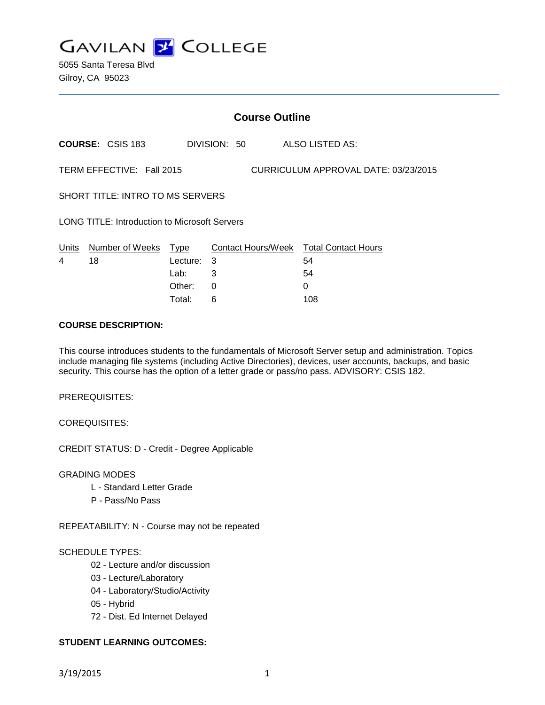

5055 Santa Teresa Blvd Gilroy, CA 95023

|                                                                   | <b>Course Outline</b>   |          |   |              |  |                                        |
|-------------------------------------------------------------------|-------------------------|----------|---|--------------|--|----------------------------------------|
|                                                                   | <b>COURSE: CSIS 183</b> |          |   | DIVISION: 50 |  | ALSO LISTED AS:                        |
| TERM EFFECTIVE: Fall 2015<br>CURRICULUM APPROVAL DATE: 03/23/2015 |                         |          |   |              |  |                                        |
| SHORT TITLE: INTRO TO MS SERVERS                                  |                         |          |   |              |  |                                        |
| <b>LONG TITLE: Introduction to Microsoft Servers</b>              |                         |          |   |              |  |                                        |
| Units<br>4                                                        | Number of Weeks Type    | Lecture: | 3 |              |  | Contact Hours/Week Total Contact Hours |
|                                                                   | 18                      | Lab:     | 3 |              |  | 54<br>54                               |
|                                                                   |                         | Other:   | 0 |              |  | 0                                      |
|                                                                   |                         |          |   |              |  |                                        |

Total: 6 108

#### **COURSE DESCRIPTION:**

This course introduces students to the fundamentals of Microsoft Server setup and administration. Topics include managing file systems (including Active Directories), devices, user accounts, backups, and basic security. This course has the option of a letter grade or pass/no pass. ADVISORY: CSIS 182.

PREREQUISITES:

COREQUISITES:

CREDIT STATUS: D - Credit - Degree Applicable

GRADING MODES

- L Standard Letter Grade
- P Pass/No Pass

REPEATABILITY: N - Course may not be repeated

#### SCHEDULE TYPES:

- 02 Lecture and/or discussion
- 03 Lecture/Laboratory
- 04 Laboratory/Studio/Activity
- 05 Hybrid
- 72 Dist. Ed Internet Delayed

### **STUDENT LEARNING OUTCOMES:**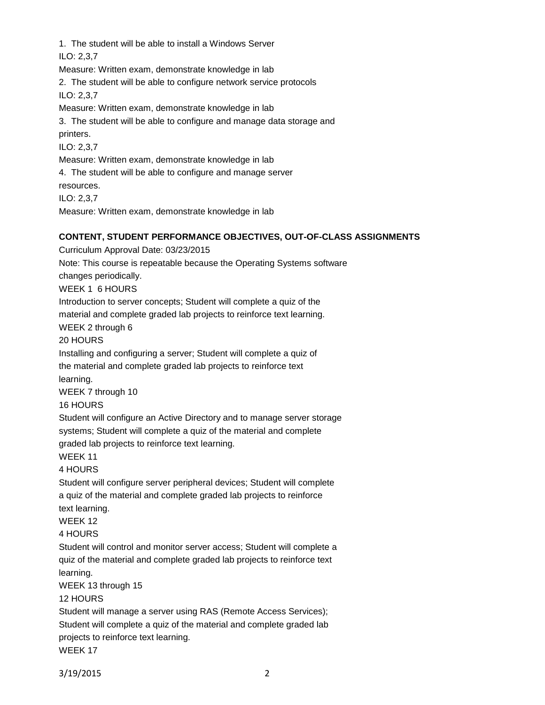1. The student will be able to install a Windows Server ILO: 2,3,7

Measure: Written exam, demonstrate knowledge in lab

2. The student will be able to configure network service protocols

ILO: 2,3,7

Measure: Written exam, demonstrate knowledge in lab

3. The student will be able to configure and manage data storage and printers.

ILO: 2,3,7

Measure: Written exam, demonstrate knowledge in lab

4. The student will be able to configure and manage server

resources.

ILO: 2,3,7

Measure: Written exam, demonstrate knowledge in lab

## **CONTENT, STUDENT PERFORMANCE OBJECTIVES, OUT-OF-CLASS ASSIGNMENTS**

Curriculum Approval Date: 03/23/2015 Note: This course is repeatable because the Operating Systems software changes periodically. WEEK 1 6 HOURS Introduction to server concepts; Student will complete a quiz of the material and complete graded lab projects to reinforce text learning. WEEK 2 through 6 20 HOURS Installing and configuring a server; Student will complete a quiz of the material and complete graded lab projects to reinforce text learning. WEEK 7 through 10 16 HOURS Student will configure an Active Directory and to manage server storage systems; Student will complete a quiz of the material and complete graded lab projects to reinforce text learning. WEEK 11 4 HOURS Student will configure server peripheral devices; Student will complete a quiz of the material and complete graded lab projects to reinforce text learning. WEEK 12 4 HOURS Student will control and monitor server access; Student will complete a quiz of the material and complete graded lab projects to reinforce text learning. WEEK 13 through 15 12 HOURS Student will manage a server using RAS (Remote Access Services); Student will complete a quiz of the material and complete graded lab projects to reinforce text learning.

WEEK 17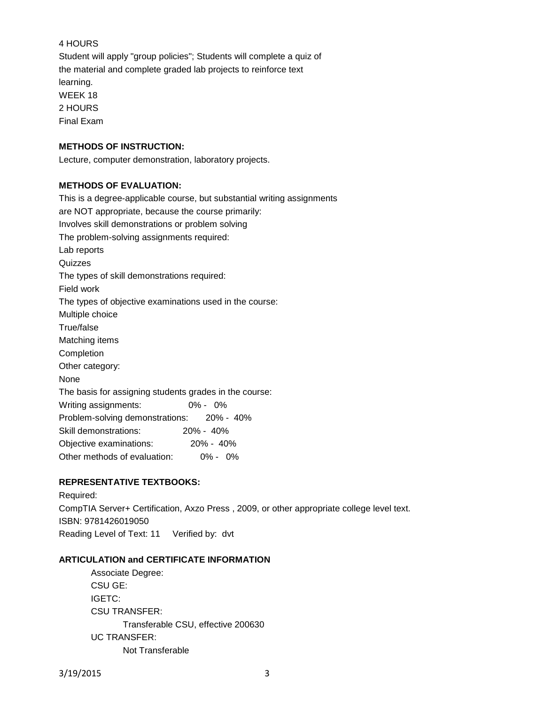# 4 HOURS

Student will apply "group policies"; Students will complete a quiz of the material and complete graded lab projects to reinforce text learning. WEEK 18 2 HOURS Final Exam

## **METHODS OF INSTRUCTION:**

Lecture, computer demonstration, laboratory projects.

### **METHODS OF EVALUATION:**

This is a degree-applicable course, but substantial writing assignments are NOT appropriate, because the course primarily: Involves skill demonstrations or problem solving The problem-solving assignments required: Lab reports Quizzes The types of skill demonstrations required: Field work The types of objective examinations used in the course: Multiple choice True/false Matching items Completion Other category: None The basis for assigning students grades in the course: Writing assignments: 0% - 0% Problem-solving demonstrations: 20% - 40% Skill demonstrations: 20% - 40% Objective examinations: 20% - 40% Other methods of evaluation: 0% - 0%

### **REPRESENTATIVE TEXTBOOKS:**

Required: CompTIA Server+ Certification, Axzo Press , 2009, or other appropriate college level text. ISBN: 9781426019050 Reading Level of Text: 11 Verified by: dvt

#### **ARTICULATION and CERTIFICATE INFORMATION**

Associate Degree: CSU GE: IGETC: CSU TRANSFER: Transferable CSU, effective 200630 UC TRANSFER: Not Transferable